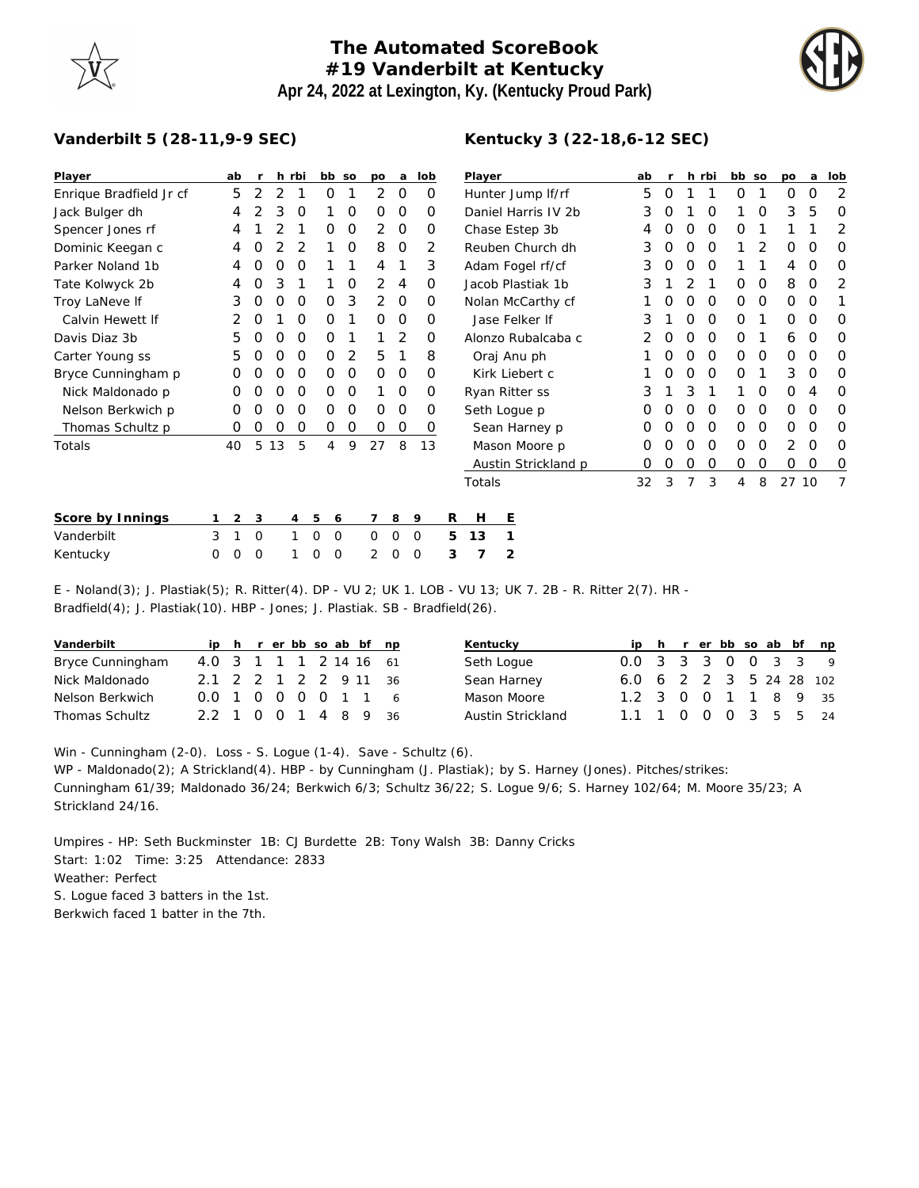## **The Automated ScoreBook #19 Vanderbilt at Kentucky Apr 24, 2022 at Lexington, Ky. (Kentucky Proud Park)**



## **Vanderbilt 5 (28-11,9-9 SEC)**

| Player                  |          | ab             |          |    | h rbi          | bb so         |                | po       | a           | lob         |   | Player              |                   |                     |    | ab |   |          | h rbi    | bb so |    | po           | a        | lob            |
|-------------------------|----------|----------------|----------|----|----------------|---------------|----------------|----------|-------------|-------------|---|---------------------|-------------------|---------------------|----|----|---|----------|----------|-------|----|--------------|----------|----------------|
| Enrique Bradfield Jr cf |          | 5              | 2        | 2  |                | 0             |                | 2        | $\circ$     | 0           |   |                     | Hunter Jump If/rf |                     |    | 5  | 0 |          |          | 0     | 1  | 0            | O        | $\overline{2}$ |
| Jack Bulger dh          |          | 4              |          | 3  | O              |               | O              | 0        | 0           | 0           |   | Daniel Harris IV 2b |                   |                     |    | 3  | O |          | O        |       | O  | 3            | 5        | 0              |
| Spencer Jones rf        |          | 4              |          |    |                | 0             | O              | 2        | 0           | 0           |   | Chase Estep 3b      |                   |                     |    |    |   | O        | $\Omega$ | 0     |    |              |          | 2              |
| Dominic Keegan c        |          | 4              | O        |    | 2              |               | 0              | 8        | $\mathbf 0$ | 2           |   | Reuben Church dh    |                   |                     |    | 3  | 0 | $\Omega$ | $\Omega$ |       | 2  | 0            | O        | 0              |
| Parker Noland 1b        |          | 4              | O        | Ο  | O              |               |                | 4        |             | 3           |   | Adam Fogel rf/cf    |                   |                     |    | 3  | O | O        | $\Omega$ |       |    | 4            | $\Omega$ | O              |
| Tate Kolwyck 2b         |          | 4              | Ο        | 3  |                |               | O              | 2        | 4           | $\Omega$    |   | Jacob Plastiak 1b   |                   |                     |    | 3  |   | 2        |          | 0     | 0  | 8            | O        | 2              |
| Troy LaNeve If          |          | 3              | 0        | O  | O              | 0             | 3              | 2        | 0           | 0           |   |                     | Nolan McCarthy cf |                     |    |    |   | $\Omega$ | $\Omega$ | 0     | 0  | $\mathbf{O}$ | O        |                |
| Calvin Hewett If        |          | 2              | O        |    | O              | 0             |                | $\Omega$ | 0           | Ο           |   | Jase Felker If      |                   |                     |    | 3  |   | $\Omega$ | $\Omega$ | 0     |    | 0            | O        | 0              |
| Davis Diaz 3b           |          | 5              | O        | Ο  | 0              | 0             |                |          | 2           | 0           |   | Alonzo Rubalcaba c  |                   |                     |    |    |   | $\Omega$ | $\Omega$ | 0     |    | 6            | O        | $\Omega$       |
| Carter Young ss         |          | 5              | Ω        | 0  | O              | 0             | $\overline{2}$ | 5        |             | 8           |   | Oraj Anu ph         |                   |                     |    |    |   | O        | $\Omega$ | 0     | 0  | O            | 0        | 0              |
| Bryce Cunningham p      |          | Ο              | Ο        | Ο  | O              | 0             | O              | $\Omega$ | 0           | 0           |   | Kirk Liebert c      |                   |                     |    | O  | O | $\Omega$ | 0        | 1     | 3  | O            | $\Omega$ |                |
| Nick Maldonado p        |          | 0              | O        | 0  | O              | 0             | 0              |          | 0           | 0           |   |                     | Ryan Ritter ss    |                     |    | 3  |   | 3        |          |       | 0  | 0            | 4        | 0              |
| Nelson Berkwich p       |          | Ο              |          | Ω  | O              | 0             | O              | $\Omega$ | $\Omega$    | Ο           |   |                     | Seth Loque p      |                     |    |    |   | O        | $\Omega$ | O     | 0  | 0            | O        | O              |
| Thomas Schultz p        |          | 0              | 0        | O  | 0              | 0             | 0              | 0        | 0           | 0           |   | Sean Harney p       |                   |                     |    | 0  | O | $\Omega$ | $\Omega$ | 0     | 0  | 0            | O        | 0              |
| Totals                  |          | 40             | 5        | 13 | 5              | 4             | 9              | 27       | 8           | 13          |   |                     | Mason Moore p     |                     |    | O  |   | O        | $\Omega$ | 0     | 0  | 2            | O        | 0              |
|                         |          |                |          |    |                |               |                |          |             |             |   |                     |                   | Austin Strickland p |    | O  | O | $\Omega$ | 0        | 0     | 0  | O            | O        | 0              |
|                         |          |                |          |    |                |               |                |          |             |             |   | Totals              |                   |                     | 32 | 3  | 7 | 3        | 4        | 8     | 27 | 10           | 7        |                |
|                         |          |                |          |    |                |               |                |          |             |             |   |                     |                   |                     |    |    |   |          |          |       |    |              |          |                |
| Score by Innings        |          | $\overline{2}$ | 3        |    | $\overline{4}$ | 5             | 6              | 7        | 8           | 9           | R | H                   | Ε                 |                     |    |    |   |          |          |       |    |              |          |                |
| Vanderbilt              | 3        |                | $\circ$  |    |                | $\Omega$<br>0 |                | 0        | $\Omega$    | $\mathbf 0$ | 5 | 13                  |                   |                     |    |    |   |          |          |       |    |              |          |                |
| Kentucky                | $\Omega$ | O              | $\Omega$ |    |                | 0<br>$\Omega$ |                | 2        | $\Omega$    | ∩           | 3 |                     | $\overline{2}$    |                     |    |    |   |          |          |       |    |              |          |                |

E - Noland(3); J. Plastiak(5); R. Ritter(4). DP - VU 2; UK 1. LOB - VU 13; UK 7. 2B - R. Ritter 2(7). HR - Bradfield(4); J. Plastiak(10). HBP - Jones; J. Plastiak. SB - Bradfield(26).

| Vanderbilt       |                        |  |  |  | ip h r er bb so ab bf np |
|------------------|------------------------|--|--|--|--------------------------|
| Bryce Cunningham | 4.0 3 1 1 1 2 14 16 61 |  |  |  |                          |
| Nick Maldonado   | 2.1 2 2 1 2 2 9 11 36  |  |  |  |                          |
| Nelson Berkwich  | 0.0 1 0 0 0 0 1 1      |  |  |  | -6                       |
| Thomas Schultz   | 2.2 1 0 0 1 4 8 9      |  |  |  | 36                       |

| Kentucky          | ID                      |  |             |  | h r er bb so ab bf np |
|-------------------|-------------------------|--|-------------|--|-----------------------|
| Seth Loque        | 0.0 3 3 3 0 0 3 3       |  |             |  |                       |
| Sean Harney       | 6.0 6 2 2 3 5 24 28 102 |  |             |  |                       |
| Mason Moore       | 1.2 3 0 0 1 1 8 9 35    |  |             |  |                       |
| Austin Strickland | 11                      |  | 0 0 0 3 5 5 |  |                       |

Win - Cunningham (2-0). Loss - S. Logue (1-4). Save - Schultz (6).

WP - Maldonado(2); A Strickland(4). HBP - by Cunningham (J. Plastiak); by S. Harney (Jones). Pitches/strikes: Cunningham 61/39; Maldonado 36/24; Berkwich 6/3; Schultz 36/22; S. Logue 9/6; S. Harney 102/64; M. Moore 35/23; A Strickland 24/16.

Umpires - HP: Seth Buckminster 1B: CJ Burdette 2B: Tony Walsh 3B: Danny Cricks Start: 1:02 Time: 3:25 Attendance: 2833 Weather: Perfect S. Logue faced 3 batters in the 1st.

Berkwich faced 1 batter in the 7th.

## **Kentucky 3 (22-18,6-12 SEC)**